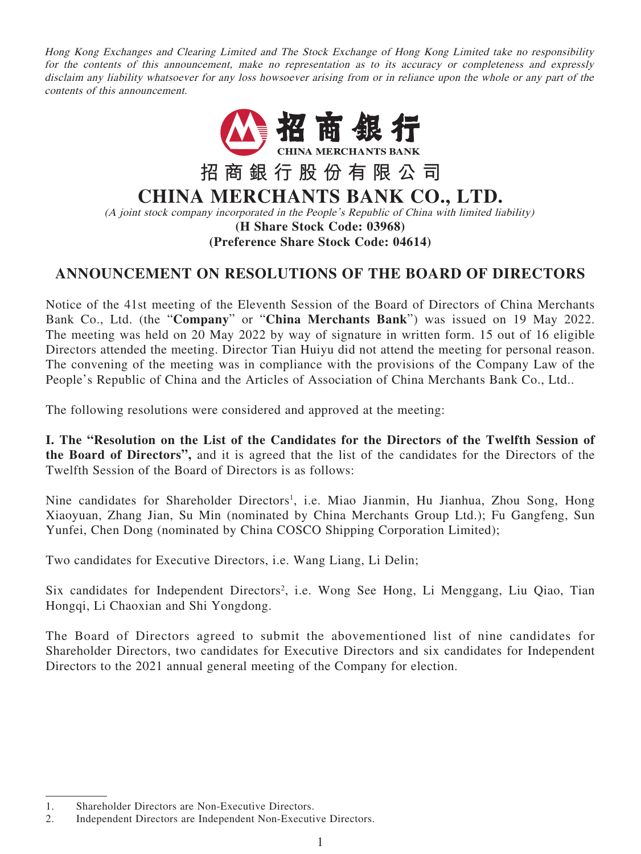Hong Kong Exchanges and Clearing Limited and The Stock Exchange of Hong Kong Limited take no responsibility for the contents of this announcement, make no representation as to its accuracy or completeness and expressly disclaim any liability whatsoever for any loss howsoever arising from or in reliance upon the whole or any part of the contents of this announcement.



# **ANNOUNCEMENT ON RESOLUTIONS OF THE BOARD OF DIRECTORS**

Notice of the 41st meeting of the Eleventh Session of the Board of Directors of China Merchants Bank Co., Ltd. (the "**Company**" or "**China Merchants Bank**") was issued on 19 May 2022. The meeting was held on 20 May 2022 by way of signature in written form. 15 out of 16 eligible Directors attended the meeting. Director Tian Huiyu did not attend the meeting for personal reason. The convening of the meeting was in compliance with the provisions of the Company Law of the People's Republic of China and the Articles of Association of China Merchants Bank Co., Ltd..

The following resolutions were considered and approved at the meeting:

**I. The "Resolution on the List of the Candidates for the Directors of the Twelfth Session of the Board of Directors",** and it is agreed that the list of the candidates for the Directors of the Twelfth Session of the Board of Directors is as follows:

Nine candidates for Shareholder Directors<sup>1</sup>, i.e. Miao Jianmin, Hu Jianhua, Zhou Song, Hong Xiaoyuan, Zhang Jian, Su Min (nominated by China Merchants Group Ltd.); Fu Gangfeng, Sun Yunfei, Chen Dong (nominated by China COSCO Shipping Corporation Limited);

Two candidates for Executive Directors, i.e. Wang Liang, Li Delin;

Six candidates for Independent Directors<sup>2</sup>, i.e. Wong See Hong, Li Menggang, Liu Qiao, Tian Hongqi, Li Chaoxian and Shi Yongdong.

The Board of Directors agreed to submit the abovementioned list of nine candidates for Shareholder Directors, two candidates for Executive Directors and six candidates for Independent Directors to the 2021 annual general meeting of the Company for election.

<sup>1.</sup> Shareholder Directors are Non-Executive Directors.

<sup>2.</sup> Independent Directors are Independent Non-Executive Directors.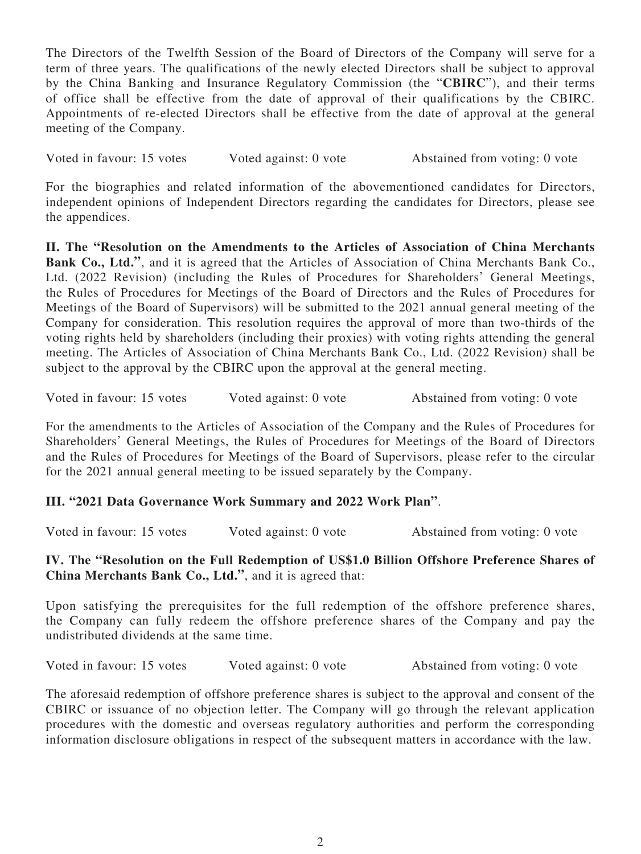The Directors of the Twelfth Session of the Board of Directors of the Company will serve for a term of three years. The qualifications of the newly elected Directors shall be subject to approval by the China Banking and Insurance Regulatory Commission (the "**CBIRC**"), and their terms of office shall be effective from the date of approval of their qualifications by the CBIRC. Appointments of re-elected Directors shall be effective from the date of approval at the general meeting of the Company.

Voted in favour: 15 votes Voted against: 0 vote Abstained from voting: 0 vote

For the biographies and related information of the abovementioned candidates for Directors, independent opinions of Independent Directors regarding the candidates for Directors, please see the appendices.

**II. The "Resolution on the Amendments to the Articles of Association of China Merchants Bank Co., Ltd."**, and it is agreed that the Articles of Association of China Merchants Bank Co., Ltd. (2022 Revision) (including the Rules of Procedures for Shareholders' General Meetings, the Rules of Procedures for Meetings of the Board of Directors and the Rules of Procedures for Meetings of the Board of Supervisors) will be submitted to the 2021 annual general meeting of the Company for consideration. This resolution requires the approval of more than two-thirds of the voting rights held by shareholders (including their proxies) with voting rights attending the general meeting. The Articles of Association of China Merchants Bank Co., Ltd. (2022 Revision) shall be subject to the approval by the CBIRC upon the approval at the general meeting.

Voted in favour: 15 votes Voted against: 0 vote Abstained from voting: 0 vote

For the amendments to the Articles of Association of the Company and the Rules of Procedures for Shareholders' General Meetings, the Rules of Procedures for Meetings of the Board of Directors and the Rules of Procedures for Meetings of the Board of Supervisors, please refer to the circular for the 2021 annual general meeting to be issued separately by the Company.

## **III. "2021 Data Governance Work Summary and 2022 Work Plan"**.

Voted in favour: 15 votes Voted against: 0 vote Abstained from voting: 0 vote

# **IV. The "Resolution on the Full Redemption of US\$1.0 Billion Offshore Preference Shares of China Merchants Bank Co., Ltd."**, and it is agreed that:

Upon satisfying the prerequisites for the full redemption of the offshore preference shares, the Company can fully redeem the offshore preference shares of the Company and pay the undistributed dividends at the same time.

Voted in favour: 15 votes Voted against: 0 vote Abstained from voting: 0 vote

The aforesaid redemption of offshore preference shares is subject to the approval and consent of the CBIRC or issuance of no objection letter. The Company will go through the relevant application procedures with the domestic and overseas regulatory authorities and perform the corresponding information disclosure obligations in respect of the subsequent matters in accordance with the law.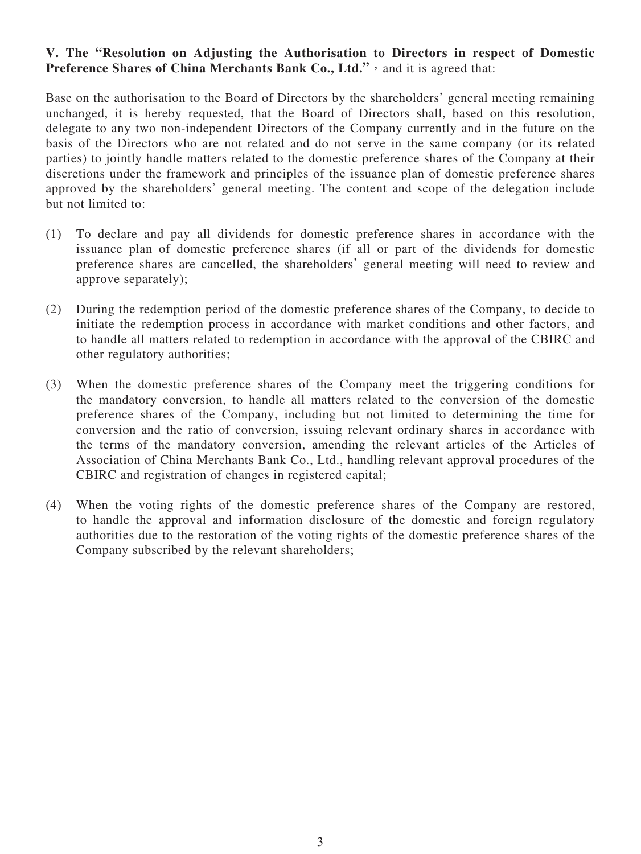### **V. The "Resolution on Adjusting the Authorisation to Directors in respect of Domestic Preference Shares of China Merchants Bank Co., Ltd."**, and it is agreed that:

Base on the authorisation to the Board of Directors by the shareholders' general meeting remaining unchanged, it is hereby requested, that the Board of Directors shall, based on this resolution, delegate to any two non-independent Directors of the Company currently and in the future on the basis of the Directors who are not related and do not serve in the same company (or its related parties) to jointly handle matters related to the domestic preference shares of the Company at their discretions under the framework and principles of the issuance plan of domestic preference shares approved by the shareholders' general meeting. The content and scope of the delegation include but not limited to:

- (1) To declare and pay all dividends for domestic preference shares in accordance with the issuance plan of domestic preference shares (if all or part of the dividends for domestic preference shares are cancelled, the shareholders' general meeting will need to review and approve separately);
- (2) During the redemption period of the domestic preference shares of the Company, to decide to initiate the redemption process in accordance with market conditions and other factors, and to handle all matters related to redemption in accordance with the approval of the CBIRC and other regulatory authorities;
- (3) When the domestic preference shares of the Company meet the triggering conditions for the mandatory conversion, to handle all matters related to the conversion of the domestic preference shares of the Company, including but not limited to determining the time for conversion and the ratio of conversion, issuing relevant ordinary shares in accordance with the terms of the mandatory conversion, amending the relevant articles of the Articles of Association of China Merchants Bank Co., Ltd., handling relevant approval procedures of the CBIRC and registration of changes in registered capital;
- (4) When the voting rights of the domestic preference shares of the Company are restored, to handle the approval and information disclosure of the domestic and foreign regulatory authorities due to the restoration of the voting rights of the domestic preference shares of the Company subscribed by the relevant shareholders;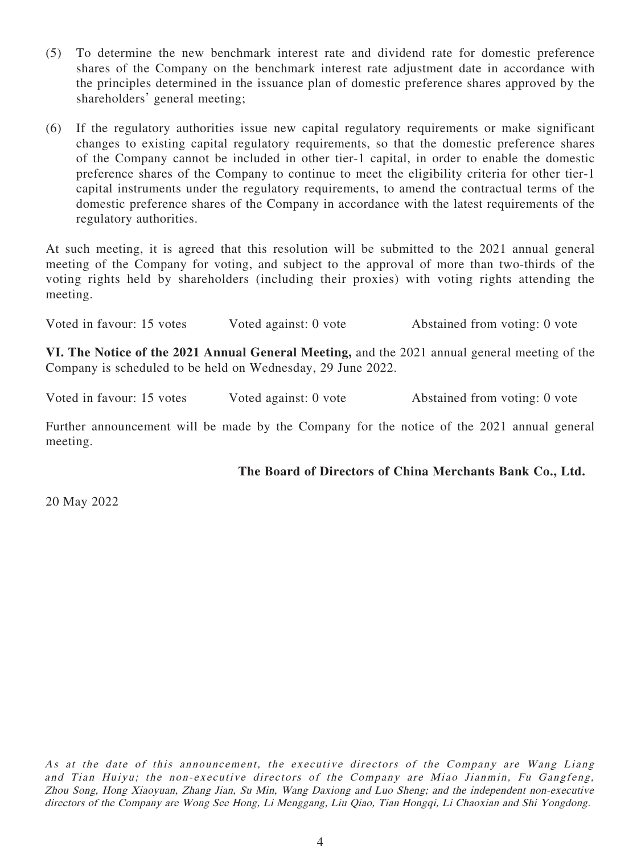- (5) To determine the new benchmark interest rate and dividend rate for domestic preference shares of the Company on the benchmark interest rate adjustment date in accordance with the principles determined in the issuance plan of domestic preference shares approved by the shareholders' general meeting;
- (6) If the regulatory authorities issue new capital regulatory requirements or make significant changes to existing capital regulatory requirements, so that the domestic preference shares of the Company cannot be included in other tier-1 capital, in order to enable the domestic preference shares of the Company to continue to meet the eligibility criteria for other tier-1 capital instruments under the regulatory requirements, to amend the contractual terms of the domestic preference shares of the Company in accordance with the latest requirements of the regulatory authorities.

At such meeting, it is agreed that this resolution will be submitted to the 2021 annual general meeting of the Company for voting, and subject to the approval of more than two-thirds of the voting rights held by shareholders (including their proxies) with voting rights attending the meeting.

Voted in favour: 15 votes Voted against: 0 vote Abstained from voting: 0 vote

**VI. The Notice of the 2021 Annual General Meeting,** and the 2021 annual general meeting of the Company is scheduled to be held on Wednesday, 29 June 2022.

Voted in favour: 15 votes Voted against: 0 vote Abstained from voting: 0 vote

Further announcement will be made by the Company for the notice of the 2021 annual general meeting.

**The Board of Directors of China Merchants Bank Co., Ltd.**

20 May 2022

As at the date of this announcement, the executive directors of the Company are Wang Liang and Tian Huiyu; the non-executive directors of the Company are Miao Jianmin, Fu Gangfeng, Zhou Song, Hong Xiaoyuan, Zhang Jian, Su Min, Wang Daxiong and Luo Sheng; and the independent non-executive directors of the Company are Wong See Hong, Li Menggang, Liu Qiao, Tian Hongqi, Li Chaoxian and Shi Yongdong.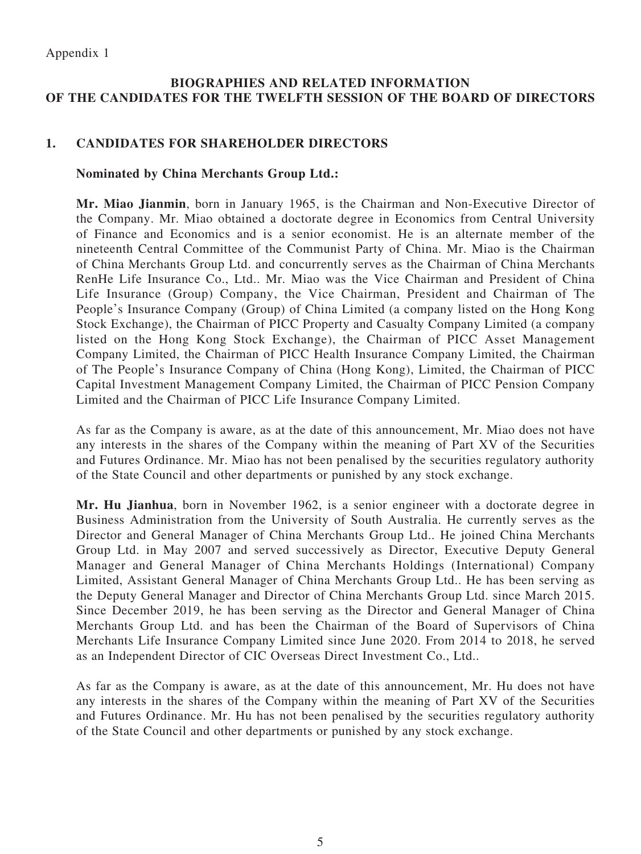# **BIOGRAPHIES AND RELATED INFORMATION OF THE CANDIDATES FOR THE TWELFTH SESSION OF THE BOARD OF DIRECTORS**

## **1. CANDIDATES FOR SHAREHOLDER DIRECTORS**

#### **Nominated by China Merchants Group Ltd.:**

**Mr. Miao Jianmin**, born in January 1965, is the Chairman and Non-Executive Director of the Company. Mr. Miao obtained a doctorate degree in Economics from Central University of Finance and Economics and is a senior economist. He is an alternate member of the nineteenth Central Committee of the Communist Party of China. Mr. Miao is the Chairman of China Merchants Group Ltd. and concurrently serves as the Chairman of China Merchants RenHe Life Insurance Co., Ltd.. Mr. Miao was the Vice Chairman and President of China Life Insurance (Group) Company, the Vice Chairman, President and Chairman of The People's Insurance Company (Group) of China Limited (a company listed on the Hong Kong Stock Exchange), the Chairman of PICC Property and Casualty Company Limited (a company listed on the Hong Kong Stock Exchange), the Chairman of PICC Asset Management Company Limited, the Chairman of PICC Health Insurance Company Limited, the Chairman of The People's Insurance Company of China (Hong Kong), Limited, the Chairman of PICC Capital Investment Management Company Limited, the Chairman of PICC Pension Company Limited and the Chairman of PICC Life Insurance Company Limited.

As far as the Company is aware, as at the date of this announcement, Mr. Miao does not have any interests in the shares of the Company within the meaning of Part XV of the Securities and Futures Ordinance. Mr. Miao has not been penalised by the securities regulatory authority of the State Council and other departments or punished by any stock exchange.

**Mr. Hu Jianhua**, born in November 1962, is a senior engineer with a doctorate degree in Business Administration from the University of South Australia. He currently serves as the Director and General Manager of China Merchants Group Ltd.. He joined China Merchants Group Ltd. in May 2007 and served successively as Director, Executive Deputy General Manager and General Manager of China Merchants Holdings (International) Company Limited, Assistant General Manager of China Merchants Group Ltd.. He has been serving as the Deputy General Manager and Director of China Merchants Group Ltd. since March 2015. Since December 2019, he has been serving as the Director and General Manager of China Merchants Group Ltd. and has been the Chairman of the Board of Supervisors of China Merchants Life Insurance Company Limited since June 2020. From 2014 to 2018, he served as an Independent Director of CIC Overseas Direct Investment Co., Ltd..

As far as the Company is aware, as at the date of this announcement, Mr. Hu does not have any interests in the shares of the Company within the meaning of Part XV of the Securities and Futures Ordinance. Mr. Hu has not been penalised by the securities regulatory authority of the State Council and other departments or punished by any stock exchange.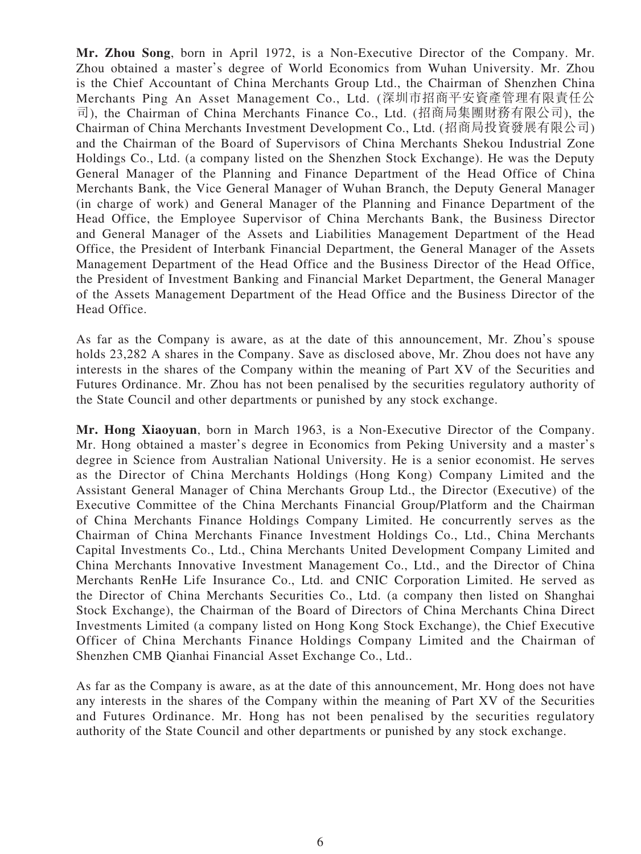**Mr. Zhou Song**, born in April 1972, is a Non-Executive Director of the Company. Mr. Zhou obtained a master's degree of World Economics from Wuhan University. Mr. Zhou is the Chief Accountant of China Merchants Group Ltd., the Chairman of Shenzhen China Merchants Ping An Asset Management Co., Ltd. (深圳市招商平安資產管理有限責任公 司), the Chairman of China Merchants Finance Co., Ltd. (招商局集團財務有限公司), the Chairman of China Merchants Investment Development Co., Ltd. (招商局投資發展有限公司) and the Chairman of the Board of Supervisors of China Merchants Shekou Industrial Zone Holdings Co., Ltd. (a company listed on the Shenzhen Stock Exchange). He was the Deputy General Manager of the Planning and Finance Department of the Head Office of China Merchants Bank, the Vice General Manager of Wuhan Branch, the Deputy General Manager (in charge of work) and General Manager of the Planning and Finance Department of the Head Office, the Employee Supervisor of China Merchants Bank, the Business Director and General Manager of the Assets and Liabilities Management Department of the Head Office, the President of Interbank Financial Department, the General Manager of the Assets Management Department of the Head Office and the Business Director of the Head Office, the President of Investment Banking and Financial Market Department, the General Manager of the Assets Management Department of the Head Office and the Business Director of the Head Office.

As far as the Company is aware, as at the date of this announcement, Mr. Zhou's spouse holds 23,282 A shares in the Company. Save as disclosed above, Mr. Zhou does not have any interests in the shares of the Company within the meaning of Part XV of the Securities and Futures Ordinance. Mr. Zhou has not been penalised by the securities regulatory authority of the State Council and other departments or punished by any stock exchange.

**Mr. Hong Xiaoyuan**, born in March 1963, is a Non-Executive Director of the Company. Mr. Hong obtained a master's degree in Economics from Peking University and a master's degree in Science from Australian National University. He is a senior economist. He serves as the Director of China Merchants Holdings (Hong Kong) Company Limited and the Assistant General Manager of China Merchants Group Ltd., the Director (Executive) of the Executive Committee of the China Merchants Financial Group/Platform and the Chairman of China Merchants Finance Holdings Company Limited. He concurrently serves as the Chairman of China Merchants Finance Investment Holdings Co., Ltd., China Merchants Capital Investments Co., Ltd., China Merchants United Development Company Limited and China Merchants Innovative Investment Management Co., Ltd., and the Director of China Merchants RenHe Life Insurance Co., Ltd. and CNIC Corporation Limited. He served as the Director of China Merchants Securities Co., Ltd. (a company then listed on Shanghai Stock Exchange), the Chairman of the Board of Directors of China Merchants China Direct Investments Limited (a company listed on Hong Kong Stock Exchange), the Chief Executive Officer of China Merchants Finance Holdings Company Limited and the Chairman of Shenzhen CMB Qianhai Financial Asset Exchange Co., Ltd..

As far as the Company is aware, as at the date of this announcement, Mr. Hong does not have any interests in the shares of the Company within the meaning of Part XV of the Securities and Futures Ordinance. Mr. Hong has not been penalised by the securities regulatory authority of the State Council and other departments or punished by any stock exchange.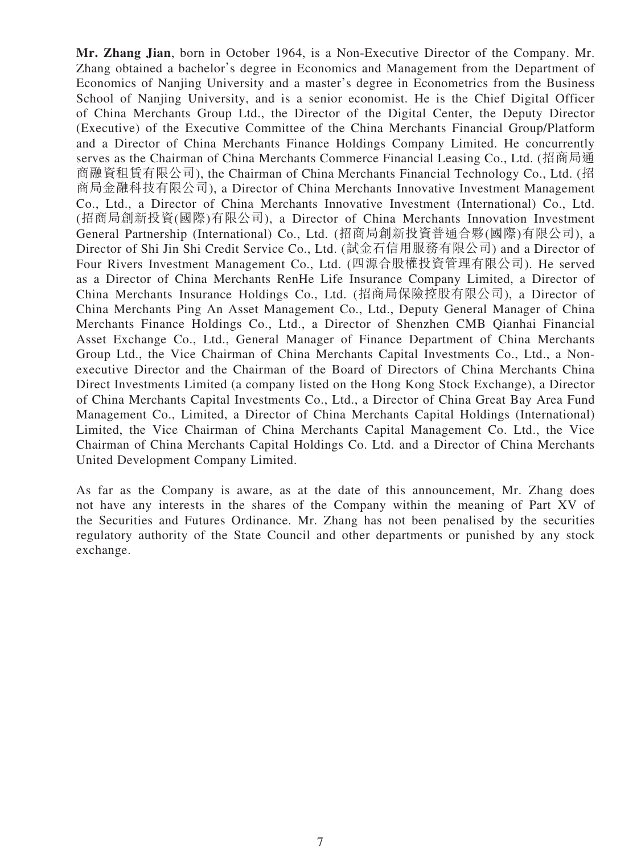**Mr. Zhang Jian**, born in October 1964, is a Non-Executive Director of the Company. Mr. Zhang obtained a bachelor's degree in Economics and Management from the Department of Economics of Nanjing University and a master's degree in Econometrics from the Business School of Nanjing University, and is a senior economist. He is the Chief Digital Officer of China Merchants Group Ltd., the Director of the Digital Center, the Deputy Director (Executive) of the Executive Committee of the China Merchants Financial Group/Platform and a Director of China Merchants Finance Holdings Company Limited. He concurrently serves as the Chairman of China Merchants Commerce Financial Leasing Co., Ltd. (招商局通 商融資租賃有限公司), the Chairman of China Merchants Financial Technology Co., Ltd. (招 商局金融科技有限公司), a Director of China Merchants Innovative Investment Management Co., Ltd., a Director of China Merchants Innovative Investment (International) Co., Ltd. (招商局創新投資(國際)有限公司), a Director of China Merchants Innovation Investment General Partnership (International) Co., Ltd. (招商局創新投資普通合夥(國際)有限公司), a Director of Shi Jin Shi Credit Service Co., Ltd. (試金石信用服務有限公司) and a Director of Four Rivers Investment Management Co., Ltd. (四源合股權投資管理有限公司). He served as a Director of China Merchants RenHe Life Insurance Company Limited, a Director of China Merchants Insurance Holdings Co., Ltd. (招商局保險控股有限公司), a Director of China Merchants Ping An Asset Management Co., Ltd., Deputy General Manager of China Merchants Finance Holdings Co., Ltd., a Director of Shenzhen CMB Qianhai Financial Asset Exchange Co., Ltd., General Manager of Finance Department of China Merchants Group Ltd., the Vice Chairman of China Merchants Capital Investments Co., Ltd., a Nonexecutive Director and the Chairman of the Board of Directors of China Merchants China Direct Investments Limited (a company listed on the Hong Kong Stock Exchange), a Director of China Merchants Capital Investments Co., Ltd., a Director of China Great Bay Area Fund Management Co., Limited, a Director of China Merchants Capital Holdings (International) Limited, the Vice Chairman of China Merchants Capital Management Co. Ltd., the Vice Chairman of China Merchants Capital Holdings Co. Ltd. and a Director of China Merchants United Development Company Limited.

As far as the Company is aware, as at the date of this announcement, Mr. Zhang does not have any interests in the shares of the Company within the meaning of Part XV of the Securities and Futures Ordinance. Mr. Zhang has not been penalised by the securities regulatory authority of the State Council and other departments or punished by any stock exchange.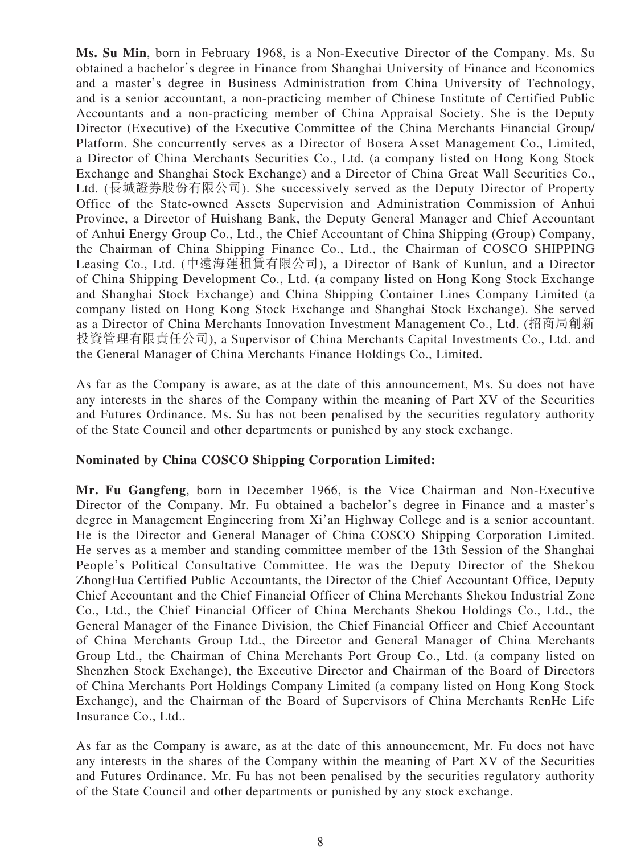**Ms. Su Min**, born in February 1968, is a Non-Executive Director of the Company. Ms. Su obtained a bachelor's degree in Finance from Shanghai University of Finance and Economics and a master's degree in Business Administration from China University of Technology, and is a senior accountant, a non-practicing member of Chinese Institute of Certified Public Accountants and a non-practicing member of China Appraisal Society. She is the Deputy Director (Executive) of the Executive Committee of the China Merchants Financial Group/ Platform. She concurrently serves as a Director of Bosera Asset Management Co., Limited, a Director of China Merchants Securities Co., Ltd. (a company listed on Hong Kong Stock Exchange and Shanghai Stock Exchange) and a Director of China Great Wall Securities Co., Ltd. (長城證券股份有限公司). She successively served as the Deputy Director of Property Office of the State-owned Assets Supervision and Administration Commission of Anhui Province, a Director of Huishang Bank, the Deputy General Manager and Chief Accountant of Anhui Energy Group Co., Ltd., the Chief Accountant of China Shipping (Group) Company, the Chairman of China Shipping Finance Co., Ltd., the Chairman of COSCO SHIPPING Leasing Co., Ltd. (中遠海運租賃有限公司), a Director of Bank of Kunlun, and a Director of China Shipping Development Co., Ltd. (a company listed on Hong Kong Stock Exchange and Shanghai Stock Exchange) and China Shipping Container Lines Company Limited (a company listed on Hong Kong Stock Exchange and Shanghai Stock Exchange). She served as a Director of China Merchants Innovation Investment Management Co., Ltd. (招商局創新 投資管理有限責任公司), a Supervisor of China Merchants Capital Investments Co., Ltd. and the General Manager of China Merchants Finance Holdings Co., Limited.

As far as the Company is aware, as at the date of this announcement, Ms. Su does not have any interests in the shares of the Company within the meaning of Part XV of the Securities and Futures Ordinance. Ms. Su has not been penalised by the securities regulatory authority of the State Council and other departments or punished by any stock exchange.

#### **Nominated by China COSCO Shipping Corporation Limited:**

**Mr. Fu Gangfeng**, born in December 1966, is the Vice Chairman and Non-Executive Director of the Company. Mr. Fu obtained a bachelor's degree in Finance and a master's degree in Management Engineering from Xi'an Highway College and is a senior accountant. He is the Director and General Manager of China COSCO Shipping Corporation Limited. He serves as a member and standing committee member of the 13th Session of the Shanghai People's Political Consultative Committee. He was the Deputy Director of the Shekou ZhongHua Certified Public Accountants, the Director of the Chief Accountant Office, Deputy Chief Accountant and the Chief Financial Officer of China Merchants Shekou Industrial Zone Co., Ltd., the Chief Financial Officer of China Merchants Shekou Holdings Co., Ltd., the General Manager of the Finance Division, the Chief Financial Officer and Chief Accountant of China Merchants Group Ltd., the Director and General Manager of China Merchants Group Ltd., the Chairman of China Merchants Port Group Co., Ltd. (a company listed on Shenzhen Stock Exchange), the Executive Director and Chairman of the Board of Directors of China Merchants Port Holdings Company Limited (a company listed on Hong Kong Stock Exchange), and the Chairman of the Board of Supervisors of China Merchants RenHe Life Insurance Co., Ltd..

As far as the Company is aware, as at the date of this announcement, Mr. Fu does not have any interests in the shares of the Company within the meaning of Part XV of the Securities and Futures Ordinance. Mr. Fu has not been penalised by the securities regulatory authority of the State Council and other departments or punished by any stock exchange.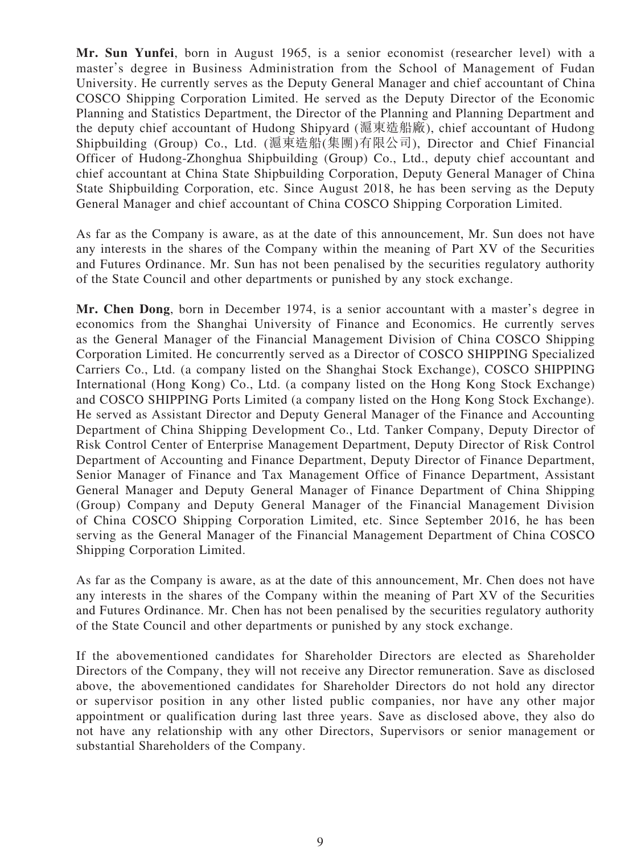**Mr. Sun Yunfei**, born in August 1965, is a senior economist (researcher level) with a master's degree in Business Administration from the School of Management of Fudan University. He currently serves as the Deputy General Manager and chief accountant of China COSCO Shipping Corporation Limited. He served as the Deputy Director of the Economic Planning and Statistics Department, the Director of the Planning and Planning Department and the deputy chief accountant of Hudong Shipyard (滬東造船廠), chief accountant of Hudong Shipbuilding (Group) Co., Ltd. (滬東造船(集團)有限公司), Director and Chief Financial Officer of Hudong-Zhonghua Shipbuilding (Group) Co., Ltd., deputy chief accountant and chief accountant at China State Shipbuilding Corporation, Deputy General Manager of China State Shipbuilding Corporation, etc. Since August 2018, he has been serving as the Deputy General Manager and chief accountant of China COSCO Shipping Corporation Limited.

As far as the Company is aware, as at the date of this announcement, Mr. Sun does not have any interests in the shares of the Company within the meaning of Part XV of the Securities and Futures Ordinance. Mr. Sun has not been penalised by the securities regulatory authority of the State Council and other departments or punished by any stock exchange.

**Mr. Chen Dong**, born in December 1974, is a senior accountant with a master's degree in economics from the Shanghai University of Finance and Economics. He currently serves as the General Manager of the Financial Management Division of China COSCO Shipping Corporation Limited. He concurrently served as a Director of COSCO SHIPPING Specialized Carriers Co., Ltd. (a company listed on the Shanghai Stock Exchange), COSCO SHIPPING International (Hong Kong) Co., Ltd. (a company listed on the Hong Kong Stock Exchange) and COSCO SHIPPING Ports Limited (a company listed on the Hong Kong Stock Exchange). He served as Assistant Director and Deputy General Manager of the Finance and Accounting Department of China Shipping Development Co., Ltd. Tanker Company, Deputy Director of Risk Control Center of Enterprise Management Department, Deputy Director of Risk Control Department of Accounting and Finance Department, Deputy Director of Finance Department, Senior Manager of Finance and Tax Management Office of Finance Department, Assistant General Manager and Deputy General Manager of Finance Department of China Shipping (Group) Company and Deputy General Manager of the Financial Management Division of China COSCO Shipping Corporation Limited, etc. Since September 2016, he has been serving as the General Manager of the Financial Management Department of China COSCO Shipping Corporation Limited.

As far as the Company is aware, as at the date of this announcement, Mr. Chen does not have any interests in the shares of the Company within the meaning of Part XV of the Securities and Futures Ordinance. Mr. Chen has not been penalised by the securities regulatory authority of the State Council and other departments or punished by any stock exchange.

If the abovementioned candidates for Shareholder Directors are elected as Shareholder Directors of the Company, they will not receive any Director remuneration. Save as disclosed above, the abovementioned candidates for Shareholder Directors do not hold any director or supervisor position in any other listed public companies, nor have any other major appointment or qualification during last three years. Save as disclosed above, they also do not have any relationship with any other Directors, Supervisors or senior management or substantial Shareholders of the Company.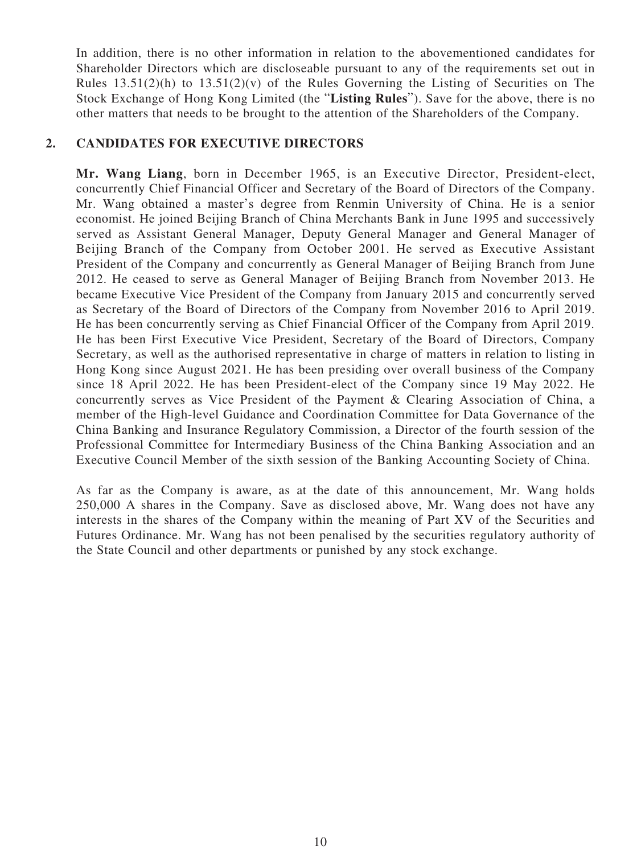In addition, there is no other information in relation to the abovementioned candidates for Shareholder Directors which are discloseable pursuant to any of the requirements set out in Rules  $13.51(2)(h)$  to  $13.51(2)(v)$  of the Rules Governing the Listing of Securities on The Stock Exchange of Hong Kong Limited (the "**Listing Rules**"). Save for the above, there is no other matters that needs to be brought to the attention of the Shareholders of the Company.

#### **2. CANDIDATES FOR EXECUTIVE DIRECTORS**

**Mr. Wang Liang**, born in December 1965, is an Executive Director, President-elect, concurrently Chief Financial Officer and Secretary of the Board of Directors of the Company. Mr. Wang obtained a master's degree from Renmin University of China. He is a senior economist. He joined Beijing Branch of China Merchants Bank in June 1995 and successively served as Assistant General Manager, Deputy General Manager and General Manager of Beijing Branch of the Company from October 2001. He served as Executive Assistant President of the Company and concurrently as General Manager of Beijing Branch from June 2012. He ceased to serve as General Manager of Beijing Branch from November 2013. He became Executive Vice President of the Company from January 2015 and concurrently served as Secretary of the Board of Directors of the Company from November 2016 to April 2019. He has been concurrently serving as Chief Financial Officer of the Company from April 2019. He has been First Executive Vice President, Secretary of the Board of Directors, Company Secretary, as well as the authorised representative in charge of matters in relation to listing in Hong Kong since August 2021. He has been presiding over overall business of the Company since 18 April 2022. He has been President-elect of the Company since 19 May 2022. He concurrently serves as Vice President of the Payment & Clearing Association of China, a member of the High-level Guidance and Coordination Committee for Data Governance of the China Banking and Insurance Regulatory Commission, a Director of the fourth session of the Professional Committee for Intermediary Business of the China Banking Association and an Executive Council Member of the sixth session of the Banking Accounting Society of China.

As far as the Company is aware, as at the date of this announcement, Mr. Wang holds 250,000 A shares in the Company. Save as disclosed above, Mr. Wang does not have any interests in the shares of the Company within the meaning of Part XV of the Securities and Futures Ordinance. Mr. Wang has not been penalised by the securities regulatory authority of the State Council and other departments or punished by any stock exchange.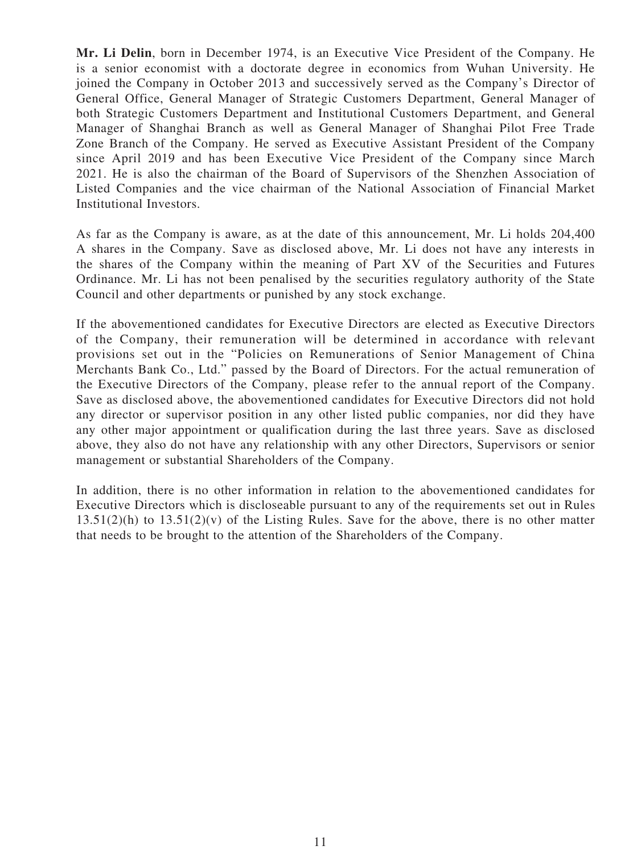**Mr. Li Delin**, born in December 1974, is an Executive Vice President of the Company. He is a senior economist with a doctorate degree in economics from Wuhan University. He joined the Company in October 2013 and successively served as the Company's Director of General Office, General Manager of Strategic Customers Department, General Manager of both Strategic Customers Department and Institutional Customers Department, and General Manager of Shanghai Branch as well as General Manager of Shanghai Pilot Free Trade Zone Branch of the Company. He served as Executive Assistant President of the Company since April 2019 and has been Executive Vice President of the Company since March 2021. He is also the chairman of the Board of Supervisors of the Shenzhen Association of Listed Companies and the vice chairman of the National Association of Financial Market Institutional Investors.

As far as the Company is aware, as at the date of this announcement, Mr. Li holds 204,400 A shares in the Company. Save as disclosed above, Mr. Li does not have any interests in the shares of the Company within the meaning of Part XV of the Securities and Futures Ordinance. Mr. Li has not been penalised by the securities regulatory authority of the State Council and other departments or punished by any stock exchange.

If the abovementioned candidates for Executive Directors are elected as Executive Directors of the Company, their remuneration will be determined in accordance with relevant provisions set out in the "Policies on Remunerations of Senior Management of China Merchants Bank Co., Ltd." passed by the Board of Directors. For the actual remuneration of the Executive Directors of the Company, please refer to the annual report of the Company. Save as disclosed above, the abovementioned candidates for Executive Directors did not hold any director or supervisor position in any other listed public companies, nor did they have any other major appointment or qualification during the last three years. Save as disclosed above, they also do not have any relationship with any other Directors, Supervisors or senior management or substantial Shareholders of the Company.

In addition, there is no other information in relation to the abovementioned candidates for Executive Directors which is discloseable pursuant to any of the requirements set out in Rules  $13.51(2)$ (h) to  $13.51(2)$ (v) of the Listing Rules. Save for the above, there is no other matter that needs to be brought to the attention of the Shareholders of the Company.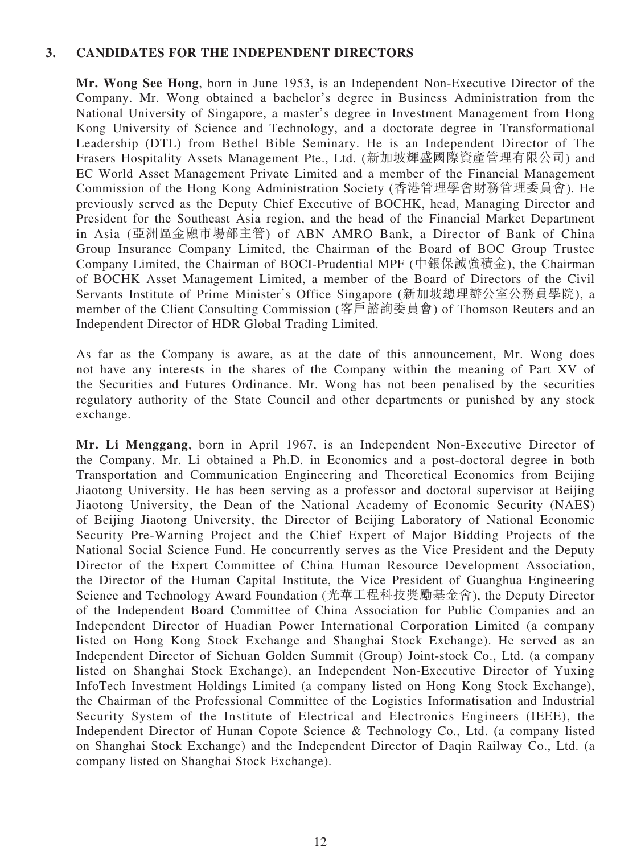#### **3. CANDIDATES FOR THE INDEPENDENT DIRECTORS**

**Mr. Wong See Hong**, born in June 1953, is an Independent Non-Executive Director of the Company. Mr. Wong obtained a bachelor's degree in Business Administration from the National University of Singapore, a master's degree in Investment Management from Hong Kong University of Science and Technology, and a doctorate degree in Transformational Leadership (DTL) from Bethel Bible Seminary. He is an Independent Director of The Frasers Hospitality Assets Management Pte., Ltd. (新加坡輝盛國際資產管理有限公司) and EC World Asset Management Private Limited and a member of the Financial Management Commission of the Hong Kong Administration Society (香港管理學會財務管理委員會). He previously served as the Deputy Chief Executive of BOCHK, head, Managing Director and President for the Southeast Asia region, and the head of the Financial Market Department in Asia (亞洲區金融市場部主管) of ABN AMRO Bank, a Director of Bank of China Group Insurance Company Limited, the Chairman of the Board of BOC Group Trustee Company Limited, the Chairman of BOCI-Prudential MPF (中銀保誠強積金), the Chairman of BOCHK Asset Management Limited, a member of the Board of Directors of the Civil Servants Institute of Prime Minister's Office Singapore (新加坡總理辦公室公務員學院), a member of the Client Consulting Commission (客戶諮詢委員會) of Thomson Reuters and an Independent Director of HDR Global Trading Limited.

As far as the Company is aware, as at the date of this announcement, Mr. Wong does not have any interests in the shares of the Company within the meaning of Part XV of the Securities and Futures Ordinance. Mr. Wong has not been penalised by the securities regulatory authority of the State Council and other departments or punished by any stock exchange.

**Mr. Li Menggang**, born in April 1967, is an Independent Non-Executive Director of the Company. Mr. Li obtained a Ph.D. in Economics and a post-doctoral degree in both Transportation and Communication Engineering and Theoretical Economics from Beijing Jiaotong University. He has been serving as a professor and doctoral supervisor at Beijing Jiaotong University, the Dean of the National Academy of Economic Security (NAES) of Beijing Jiaotong University, the Director of Beijing Laboratory of National Economic Security Pre-Warning Project and the Chief Expert of Major Bidding Projects of the National Social Science Fund. He concurrently serves as the Vice President and the Deputy Director of the Expert Committee of China Human Resource Development Association, the Director of the Human Capital Institute, the Vice President of Guanghua Engineering Science and Technology Award Foundation (光華工程科技獎勵基金會), the Deputy Director of the Independent Board Committee of China Association for Public Companies and an Independent Director of Huadian Power International Corporation Limited (a company listed on Hong Kong Stock Exchange and Shanghai Stock Exchange). He served as an Independent Director of Sichuan Golden Summit (Group) Joint-stock Co., Ltd. (a company listed on Shanghai Stock Exchange), an Independent Non-Executive Director of Yuxing InfoTech Investment Holdings Limited (a company listed on Hong Kong Stock Exchange), the Chairman of the Professional Committee of the Logistics Informatisation and Industrial Security System of the Institute of Electrical and Electronics Engineers (IEEE), the Independent Director of Hunan Copote Science & Technology Co., Ltd. (a company listed on Shanghai Stock Exchange) and the Independent Director of Daqin Railway Co., Ltd. (a company listed on Shanghai Stock Exchange).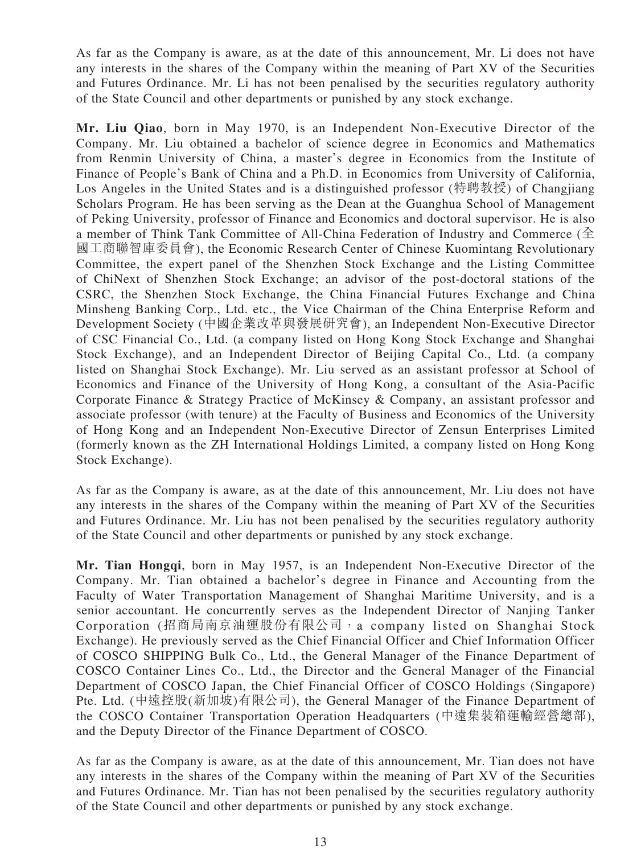As far as the Company is aware, as at the date of this announcement, Mr. Li does not have any interests in the shares of the Company within the meaning of Part XV of the Securities and Futures Ordinance. Mr. Li has not been penalised by the securities regulatory authority of the State Council and other departments or punished by any stock exchange.

**Mr. Liu Qiao**, born in May 1970, is an Independent Non-Executive Director of the Company. Mr. Liu obtained a bachelor of science degree in Economics and Mathematics from Renmin University of China, a master's degree in Economics from the Institute of Finance of People's Bank of China and a Ph.D. in Economics from University of California, Los Angeles in the United States and is a distinguished professor (特聘教授) of Changjiang Scholars Program. He has been serving as the Dean at the Guanghua School of Management of Peking University, professor of Finance and Economics and doctoral supervisor. He is also a member of Think Tank Committee of All-China Federation of Industry and Commerce (全 國工商聯智庫委員會), the Economic Research Center of Chinese Kuomintang Revolutionary Committee, the expert panel of the Shenzhen Stock Exchange and the Listing Committee of ChiNext of Shenzhen Stock Exchange; an advisor of the post-doctoral stations of the CSRC, the Shenzhen Stock Exchange, the China Financial Futures Exchange and China Minsheng Banking Corp., Ltd. etc., the Vice Chairman of the China Enterprise Reform and Development Society (中國企業改革與發展研究會), an Independent Non-Executive Director of CSC Financial Co., Ltd. (a company listed on Hong Kong Stock Exchange and Shanghai Stock Exchange), and an Independent Director of Beijing Capital Co., Ltd. (a company listed on Shanghai Stock Exchange). Mr. Liu served as an assistant professor at School of Economics and Finance of the University of Hong Kong, a consultant of the Asia-Pacific Corporate Finance & Strategy Practice of McKinsey & Company, an assistant professor and associate professor (with tenure) at the Faculty of Business and Economics of the University of Hong Kong and an Independent Non-Executive Director of Zensun Enterprises Limited (formerly known as the ZH International Holdings Limited, a company listed on Hong Kong Stock Exchange).

As far as the Company is aware, as at the date of this announcement, Mr. Liu does not have any interests in the shares of the Company within the meaning of Part XV of the Securities and Futures Ordinance. Mr. Liu has not been penalised by the securities regulatory authority of the State Council and other departments or punished by any stock exchange.

**Mr. Tian Hongqi**, born in May 1957, is an Independent Non-Executive Director of the Company. Mr. Tian obtained a bachelor's degree in Finance and Accounting from the Faculty of Water Transportation Management of Shanghai Maritime University, and is a senior accountant. He concurrently serves as the Independent Director of Nanjing Tanker Corporation (招商局南京油運股份有限公司,a company listed on Shanghai Stock Exchange). He previously served as the Chief Financial Officer and Chief Information Officer of COSCO SHIPPING Bulk Co., Ltd., the General Manager of the Finance Department of COSCO Container Lines Co., Ltd., the Director and the General Manager of the Financial Department of COSCO Japan, the Chief Financial Officer of COSCO Holdings (Singapore) Pte. Ltd. (中遠控股(新加坡)有限公司), the General Manager of the Finance Department of the COSCO Container Transportation Operation Headquarters (中遠集裝箱運輸經營總部), and the Deputy Director of the Finance Department of COSCO.

As far as the Company is aware, as at the date of this announcement, Mr. Tian does not have any interests in the shares of the Company within the meaning of Part XV of the Securities and Futures Ordinance. Mr. Tian has not been penalised by the securities regulatory authority of the State Council and other departments or punished by any stock exchange.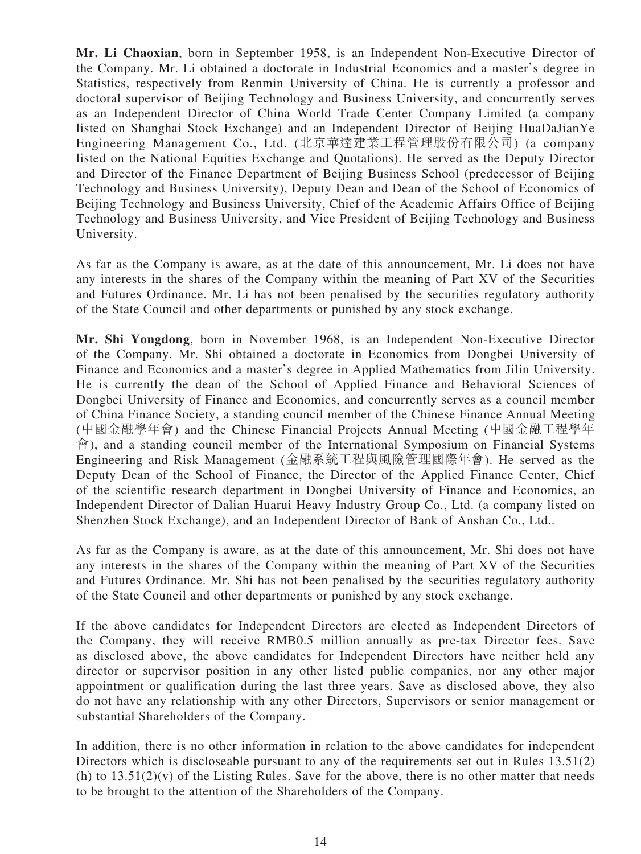**Mr. Li Chaoxian**, born in September 1958, is an Independent Non-Executive Director of the Company. Mr. Li obtained a doctorate in Industrial Economics and a master's degree in Statistics, respectively from Renmin University of China. He is currently a professor and doctoral supervisor of Beijing Technology and Business University, and concurrently serves as an Independent Director of China World Trade Center Company Limited (a company listed on Shanghai Stock Exchange) and an Independent Director of Beijing HuaDaJianYe Engineering Management Co., Ltd. (北京華達建業工程管理股份有限公司) (a company listed on the National Equities Exchange and Quotations). He served as the Deputy Director and Director of the Finance Department of Beijing Business School (predecessor of Beijing Technology and Business University), Deputy Dean and Dean of the School of Economics of Beijing Technology and Business University, Chief of the Academic Affairs Office of Beijing Technology and Business University, and Vice President of Beijing Technology and Business University.

As far as the Company is aware, as at the date of this announcement, Mr. Li does not have any interests in the shares of the Company within the meaning of Part XV of the Securities and Futures Ordinance. Mr. Li has not been penalised by the securities regulatory authority of the State Council and other departments or punished by any stock exchange.

**Mr. Shi Yongdong**, born in November 1968, is an Independent Non-Executive Director of the Company. Mr. Shi obtained a doctorate in Economics from Dongbei University of Finance and Economics and a master's degree in Applied Mathematics from Jilin University. He is currently the dean of the School of Applied Finance and Behavioral Sciences of Dongbei University of Finance and Economics, and concurrently serves as a council member of China Finance Society, a standing council member of the Chinese Finance Annual Meeting (中國金融學年會) and the Chinese Financial Projects Annual Meeting (中國金融工程學年 會), and a standing council member of the International Symposium on Financial Systems Engineering and Risk Management (金融系統工程與風險管理國際年會). He served as the Deputy Dean of the School of Finance, the Director of the Applied Finance Center, Chief of the scientific research department in Dongbei University of Finance and Economics, an Independent Director of Dalian Huarui Heavy Industry Group Co., Ltd. (a company listed on Shenzhen Stock Exchange), and an Independent Director of Bank of Anshan Co., Ltd..

As far as the Company is aware, as at the date of this announcement, Mr. Shi does not have any interests in the shares of the Company within the meaning of Part XV of the Securities and Futures Ordinance. Mr. Shi has not been penalised by the securities regulatory authority of the State Council and other departments or punished by any stock exchange.

If the above candidates for Independent Directors are elected as Independent Directors of the Company, they will receive RMB0.5 million annually as pre-tax Director fees. Save as disclosed above, the above candidates for Independent Directors have neither held any director or supervisor position in any other listed public companies, nor any other major appointment or qualification during the last three years. Save as disclosed above, they also do not have any relationship with any other Directors, Supervisors or senior management or substantial Shareholders of the Company.

In addition, there is no other information in relation to the above candidates for independent Directors which is discloseable pursuant to any of the requirements set out in Rules 13.51(2) (h) to  $13.51(2)(v)$  of the Listing Rules. Save for the above, there is no other matter that needs to be brought to the attention of the Shareholders of the Company.